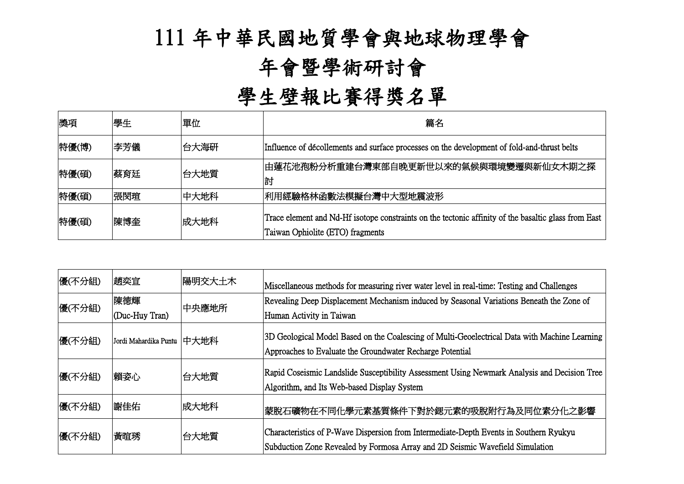## 111 年中華民國地質學會與地球物理學會

## 年會暨學術研討會

## 學生壁報比賽得獎名單

| 獎項    | 學生  | 單位   | 篇名                                                                                                                                       |
|-------|-----|------|------------------------------------------------------------------------------------------------------------------------------------------|
| 特優(博) | 李芳儀 | 台大海研 | Influence of décollements and surface processes on the development of fold-and-thrust belts                                              |
| 特優(碩) | 蔡育廷 | 台大地質 | 由蓮花池孢粉分析重建台灣東部自晚更新世以來的氣候與環境變遷與新仙女木期之探 <br>討                                                                                              |
| 特優(碩) | 張閔瑄 | 中大地科 | 利用經驗格林函數法模擬台灣中大型地震波形                                                                                                                     |
| 特優(碩) | 陳博奎 | 成大地科 | Trace element and Nd-Hf isotope constraints on the tectonic affinity of the basaltic glass from East<br>Taiwan Ophiolite (ETO) fragments |

| 優(不分組) | 趙奕宣                   | 陽明交大土木 | Miscellaneous methods for measuring river water level in real-time: Testing and Challenges                                                                              |
|--------|-----------------------|--------|-------------------------------------------------------------------------------------------------------------------------------------------------------------------------|
| 優(不分組) | 陳德輝<br>(Duc-Huy Tran) | 中央應地所  | Revealing Deep Displacement Mechanism induced by Seasonal Variations Beneath the Zone of<br>Human Activity in Taiwan                                                    |
| 優(不分組) | Jordi Mahardika Puntu | 中大地科   | 3D Geological Model Based on the Coalescing of Multi-Geoelectrical Data with Machine Learning<br>Approaches to Evaluate the Groundwater Recharge Potential              |
| 優(不分組) | 賴姿心                   | 台大地質   | Rapid Coseismic Landslide Susceptibility Assessment Using Newmark Analysis and Decision Tree<br>Algorithm, and Its Web-based Display System                             |
| 優(不分組) | 謝佳佑                   | 成大地科   | 蒙脫石礦物在不同化學元素基質條件下對於鍶元素的吸脫附行為及同位素分化之影響                                                                                                                                   |
| 優(不分組) | 黃暄琇                   | 台大地質   | Characteristics of P-Wave Dispersion from Intermediate-Depth Events in Southern Ryukyu<br>Subduction Zone Revealed by Formosa Array and 2D Seismic Wavefield Simulation |